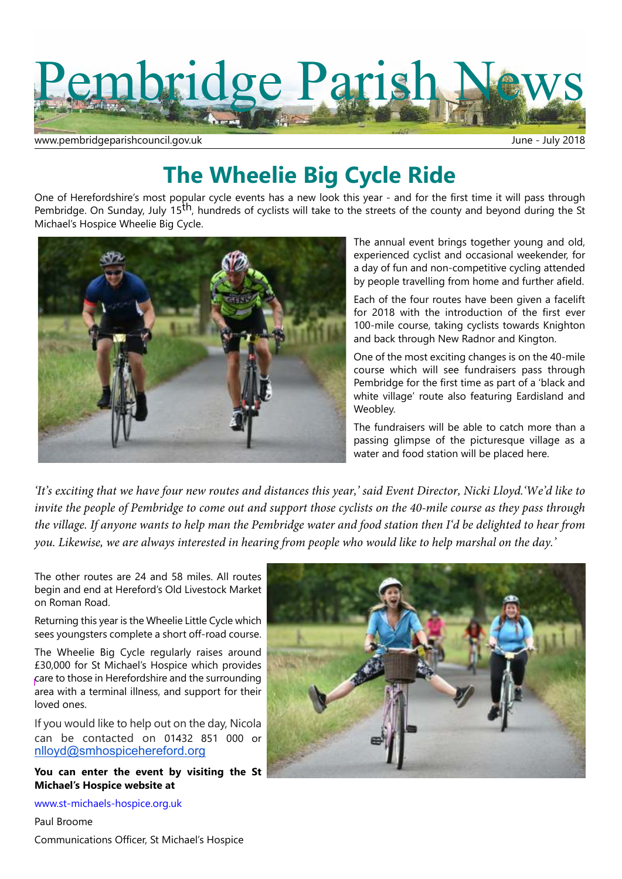

www.pembridgeparishcouncil.gov.uk June - July 2018

# **The Wheelie Big Cycle Ride**

One of Herefordshire's most popular cycle events has a new look this year - and for the first time it will pass through Pembridge. On Sunday, July 15<sup>th</sup>, hundreds of cyclists will take to the streets of the county and beyond during the St Michael's Hospice Wheelie Big Cycle.



The annual event brings together young and old, experienced cyclist and occasional weekender, for a day of fun and non-competitive cycling attended by people travelling from home and further afield.

Each of the four routes have been given a facelift for 2018 with the introduction of the first ever 100-mile course, taking cyclists towards Knighton and back through New Radnor and Kington.

One of the most exciting changes is on the 40-mile course which will see fundraisers pass through Pembridge for the first time as part of a 'black and white village' route also featuring Eardisland and Weobley.

The fundraisers will be able to catch more than a passing glimpse of the picturesque village as a water and food station will be placed here.

*'It's exciting that we have four new routes and distances this year,' said Event Director, Nicki Lloyd.'We'd like to invite the people of Pembridge to come out and support those cyclists on the 40-mile course as they pass through the village. If anyone wants to help man the Pembridge water and food station then I'd be delighted to hear from you. Likewise, we are always interested in hearing from people who would like to help marshal on the day.'*

The other routes are 24 and 58 miles. All routes begin and end at Hereford's Old Livestock Market on Roman Road.

Returning this year is the Wheelie Little Cycle which sees youngsters complete a short off-road course.

The Wheelie Big Cycle regularly raises around £30,000 for St Michael's Hospice which provides care to those in Herefordshire and the surrounding area with a terminal illness, and support for their loved ones.

If you would like to help out on the day, Nicola can be contacted on 01432 851 000 or nlloyd@smhospicehereford.org

**You can enter the event by visiting the St Michael's Hospice website at**

www.st-michaels-hospice.org.uk

Paul Broome

Communications Officer, St Michael's Hospice

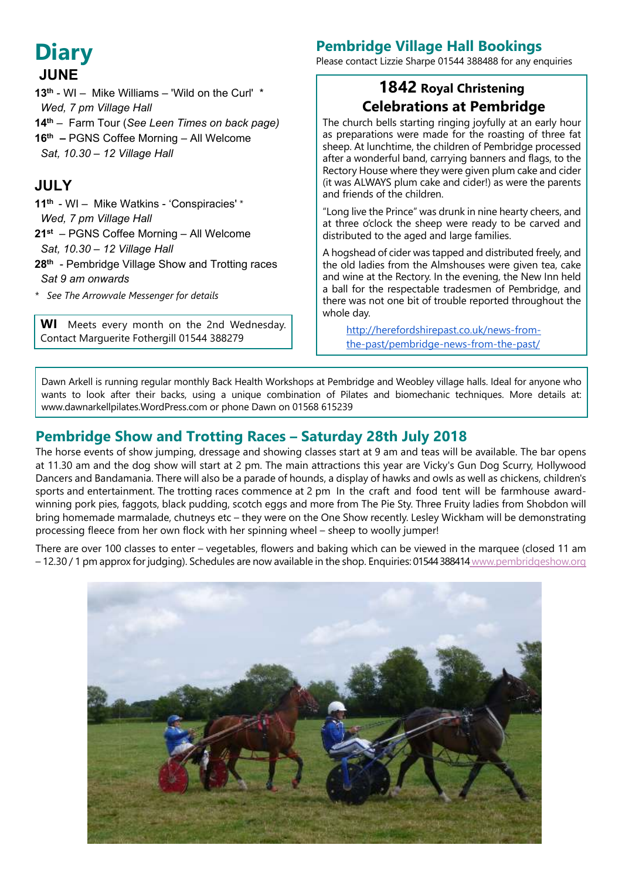# **Diary JUNE**

- **13th** WI Mike Williams 'Wild on the Curl' \*  *Wed, 7 pm Village Hall*
- **14th**  *–* Farm Tour (*See Leen Times on back page)*
- **16th –** PGNS Coffee Morning All Welcome
- *Sat, 10.30 12 Village Hall*

## **JULY**

- **11th** WI Mike Watkins 'Conspiracies' \*  *Wed, 7 pm Village Hall*
- **21st** PGNS Coffee Morning All Welcome  *Sat, 10.30 – 12 Village Hall*
- **28th** Pembridge Village Show and Trotting races  *Sat 9 am onwards*
- *\* See The Arrowvale Messenger for details*

**WI** Meets every month on the 2nd Wednesday. Contact Marguerite Fothergill 01544 388279

## **Pembridge Village Hall Bookings**

Please contact Lizzie Sharpe 01544 388488 for any enquiries

## **1842 Royal Christening Celebrations at Pembridge**

The church bells starting ringing joyfully at an early hour as preparations were made for the roasting of three fat sheep. At lunchtime, the children of Pembridge processed after a wonderful band, carrying banners and flags, to the Rectory House where they were given plum cake and cider (it was ALWAYS plum cake and cider!) as were the parents and friends of the children.

"Long live the Prince" was drunk in nine hearty cheers, and at three o'clock the sheep were ready to be carved and distributed to the aged and large families.

A hogshead of cider was tapped and distributed freely, and the old ladies from the Almshouses were given tea, cake and wine at the Rectory. In the evening, the New Inn held a ball for the respectable tradesmen of Pembridge, and there was not one bit of trouble reported throughout the whole day.

http://herefordshirepast.co.uk/news-fromthe-past/pembridge-news-from-the-past/

Dawn Arkell is running regular monthly Back Health Workshops at Pembridge and Weobley village halls. Ideal for anyone who wants to look after their backs, using a unique combination of Pilates and biomechanic techniques. More details at: www.dawnarkellpilates.WordPress.com or phone Dawn on 01568 615239

## **Pembridge Show and Trotting Races – Saturday 28th July 2018**

The horse events of show jumping, dressage and showing classes start at 9 am and teas will be available. The bar opens at 11.30 am and the dog show will start at 2 pm. The main attractions this year are Vicky's Gun Dog Scurry, Hollywood Dancers and Bandamania. There will also be a parade of hounds, a display of hawks and owls as well as chickens, children's sports and entertainment. The trotting races commence at 2 pm In the craft and food tent will be farmhouse awardwinning pork pies, faggots, black pudding, scotch eggs and more from The Pie Sty. Three Fruity ladies from Shobdon will bring homemade marmalade, chutneys etc – they were on the One Show recently. Lesley Wickham will be demonstrating processing fleece from her own flock with her spinning wheel – sheep to woolly jumper!

There are over 100 classes to enter – vegetables, flowers and baking which can be viewed in the marquee (closed 11 am – 12.30 / 1 pm approx for judging). Schedules are now available in the shop. Enquiries: 01544 38841[4 www.pembridgeshow.org](www.pembridgeshow.org)

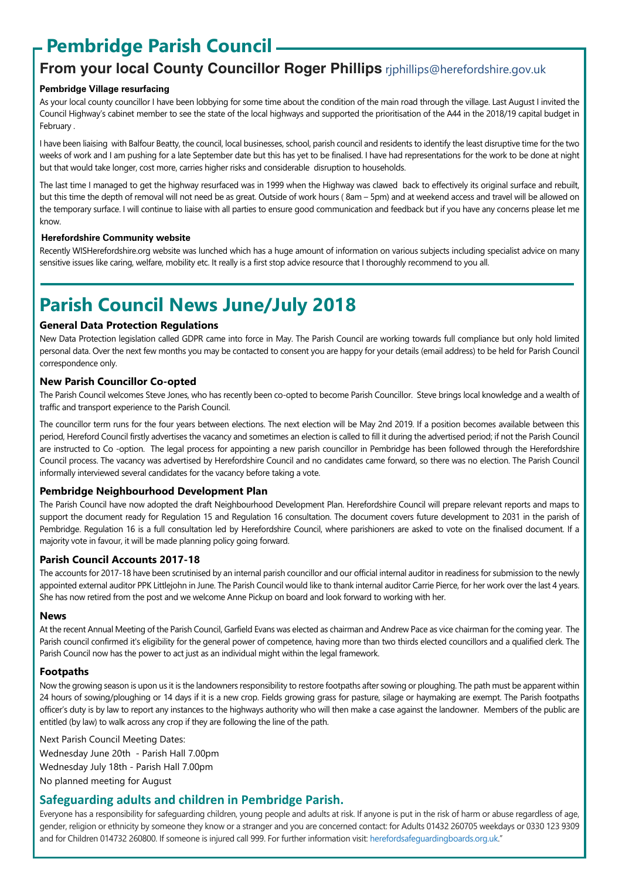# **Pembridge Parish Council**

## **From your local County Councillor Roger Phillips** riphillips@herefordshire.gov.uk

#### **Pembridge Village resurfacing**

As your local county councillor I have been lobbying for some time about the condition of the main road through the village. Last August I invited the Council Highway's cabinet member to see the state of the local highways and supported the prioritisation of the A44 in the 2018/19 capital budget in February .

I have been liaising with Balfour Beatty, the council, local businesses, school, parish council and residents to identify the least disruptive time for the two weeks of work and I am pushing for a late September date but this has yet to be finalised. I have had representations for the work to be done at night but that would take longer, cost more, carries higher risks and considerable disruption to households.

The last time I managed to get the highway resurfaced was in 1999 when the Highway was clawed back to effectively its original surface and rebuilt, but this time the depth of removal will not need be as great. Outside of work hours ( 8am – 5pm) and at weekend access and travel will be allowed on the temporary surface. I will continue to liaise with all parties to ensure good communication and feedback but if you have any concerns please let me know.

#### **Herefordshire Community website**

Recently WISHerefordshire.org website was lunched which has a huge amount of information on various subjects including specialist advice on many sensitive issues like caring, welfare, mobility etc. It really is a first stop advice resource that I thoroughly recommend to you all.

# **Parish Council News June/July 2018**

#### **General Data Protection Regulations**

New Data Protection legislation called GDPR came into force in May. The Parish Council are working towards full compliance but only hold limited personal data. Over the next few months you may be contacted to consent you are happy for your details (email address) to be held for Parish Council correspondence only.

#### **New Parish Councillor Co-opted**

The Parish Council welcomes Steve Jones, who has recently been co-opted to become Parish Councillor. Steve brings local knowledge and a wealth of traffic and transport experience to the Parish Council.

The councillor term runs for the four years between elections. The next election will be May 2nd 2019. If a position becomes available between this period, Hereford Council firstly advertises the vacancy and sometimes an election is called to fill it during the advertised period; if not the Parish Council are instructed to Co -option. The legal process for appointing a new parish councillor in Pembridge has been followed through the Herefordshire Council process. The vacancy was advertised by Herefordshire Council and no candidates came forward, so there was no election. The Parish Council informally interviewed several candidates for the vacancy before taking a vote.

#### **Pembridge Neighbourhood Development Plan**

The Parish Council have now adopted the draft Neighbourhood Development Plan. Herefordshire Council will prepare relevant reports and maps to support the document ready for Regulation 15 and Regulation 16 consultation. The document covers future development to 2031 in the parish of Pembridge. Regulation 16 is a full consultation led by Herefordshire Council, where parishioners are asked to vote on the finalised document. If a majority vote in favour, it will be made planning policy going forward.

#### **Parish Council Accounts 2017-18**

The accounts for 2017-18 have been scrutinised by an internal parish councillor and our official internal auditor in readiness for submission to the newly appointed external auditor PPK Littlejohn in June. The Parish Council would like to thank internal auditor Carrie Pierce, for her work over the last 4 years. She has now retired from the post and we welcome Anne Pickup on board and look forward to working with her.

#### **News**

At the recent Annual Meeting of the Parish Council, Garfield Evans was elected as chairman and Andrew Pace as vice chairman for the coming year. The Parish council confirmed it's eligibility for the general power of competence, having more than two thirds elected councillors and a qualified clerk. The Parish Council now has the power to act just as an individual might within the legal framework.

#### **Footpaths**

Now the growing season is upon us it is the landowners responsibility to restore footpaths after sowing or ploughing. The path must be apparent within 24 hours of sowing/ploughing or 14 days if it is a new crop. Fields growing grass for pasture, silage or haymaking are exempt. The Parish footpaths officer's duty is by law to report any instances to the highways authority who will then make a case against the landowner. Members of the public are entitled (by law) to walk across any crop if they are following the line of the path.

Next Parish Council Meeting Dates: Wednesday June 20th - Parish Hall 7.00pm Wednesday July 18th - Parish Hall 7.00pm

No planned meeting for August

### **Safeguarding adults and children in Pembridge Parish.**

Everyone has a responsibility for safeguarding children, young people and adults at risk. If anyone is put in the risk of harm or abuse regardless of age, gender, religion or ethnicity by someone they know or a stranger and you are concerned contact: for Adults 01432 260705 weekdays or 0330 123 9309 and for Children 014732 260800. If someone is injured call 999. For further information visit: herefordsafeguardingboards.org.uk."